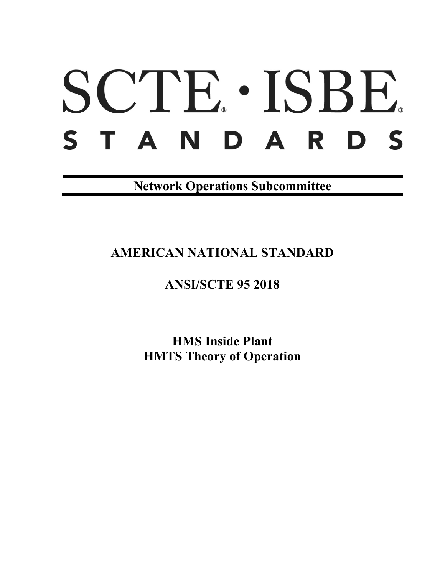# SCTE. ISBE. STANDARDS

**Network Operations Subcommittee**

**AMERICAN NATIONAL STANDARD**

# **ANSI/SCTE 95 2018**

**HMS Inside Plant HMTS Theory of Operation**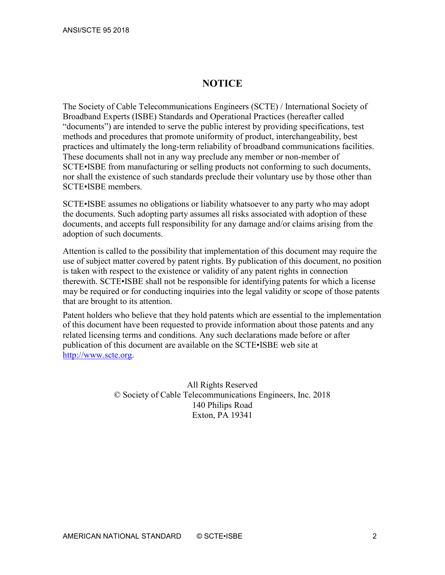# **NOTICE**

The Society of Cable Telecommunications Engineers (SCTE) / International Society of Broadband Experts (ISBE) Standards and Operational Practices (hereafter called "documents") are intended to serve the public interest by providing specifications, test methods and procedures that promote uniformity of product, interchangeability, best practices and ultimately the long-term reliability of broadband communications facilities. These documents shall not in any way preclude any member or non-member of SCTE•ISBE from manufacturing or selling products not conforming to such documents, nor shall the existence of such standards preclude their voluntary use by those other than SCTE•ISBE members.

SCTE•ISBE assumes no obligations or liability whatsoever to any party who may adopt the documents. Such adopting party assumes all risks associated with adoption of these documents, and accepts full responsibility for any damage and/or claims arising from the adoption of such documents.

Attention is called to the possibility that implementation of this document may require the use of subject matter covered by patent rights. By publication of this document, no position is taken with respect to the existence or validity of any patent rights in connection therewith. SCTE•ISBE shall not be responsible for identifying patents for which a license may be required or for conducting inquiries into the legal validity or scope of those patents that are brought to its attention.

Patent holders who believe that they hold patents which are essential to the implementation of this document have been requested to provide information about those patents and any related licensing terms and conditions. Any such declarations made before or after publication of this document are available on the SCTE•ISBE web site at [http://www.scte.org.](http://www.scte.org/)

> All Rights Reserved © Society of Cable Telecommunications Engineers, Inc. 2018 140 Philips Road Exton, PA 19341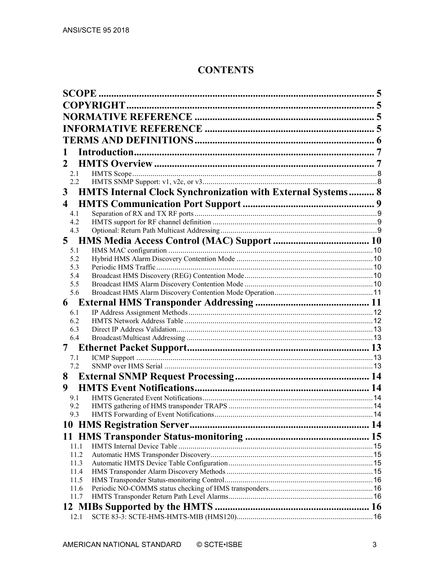# **CONTENTS**

|                         | 1                                                                  |  |  |  |  |
|-------------------------|--------------------------------------------------------------------|--|--|--|--|
| 2                       |                                                                    |  |  |  |  |
| 2.1                     |                                                                    |  |  |  |  |
|                         | $2.2^{\circ}$                                                      |  |  |  |  |
| 3                       | <b>HMTS Internal Clock Synchronization with External Systems 8</b> |  |  |  |  |
| $\overline{\mathbf{4}}$ |                                                                    |  |  |  |  |
| 4.1                     |                                                                    |  |  |  |  |
| 4.2                     |                                                                    |  |  |  |  |
| 4.3                     |                                                                    |  |  |  |  |
| 5                       |                                                                    |  |  |  |  |
| 5.1                     |                                                                    |  |  |  |  |
| 5.2                     |                                                                    |  |  |  |  |
| 5.3<br>5.4              |                                                                    |  |  |  |  |
| 5.5                     |                                                                    |  |  |  |  |
| 5.6                     |                                                                    |  |  |  |  |
| 6                       |                                                                    |  |  |  |  |
| 6.1                     |                                                                    |  |  |  |  |
| 6.2                     |                                                                    |  |  |  |  |
| 6.3                     |                                                                    |  |  |  |  |
| 6.4                     |                                                                    |  |  |  |  |
| 7                       |                                                                    |  |  |  |  |
| 7.1                     |                                                                    |  |  |  |  |
| 7.2                     |                                                                    |  |  |  |  |
| 8                       |                                                                    |  |  |  |  |
| 9                       |                                                                    |  |  |  |  |
| 9.1                     |                                                                    |  |  |  |  |
| 9.2                     |                                                                    |  |  |  |  |
| 9.3                     |                                                                    |  |  |  |  |
|                         |                                                                    |  |  |  |  |
|                         |                                                                    |  |  |  |  |
|                         | 11.1                                                               |  |  |  |  |
|                         | 11.2                                                               |  |  |  |  |
|                         | 11.3                                                               |  |  |  |  |
|                         | 11.4                                                               |  |  |  |  |
|                         | 11.5<br>11.6                                                       |  |  |  |  |
|                         | 11.7                                                               |  |  |  |  |
|                         |                                                                    |  |  |  |  |
|                         | 12.1                                                               |  |  |  |  |
|                         |                                                                    |  |  |  |  |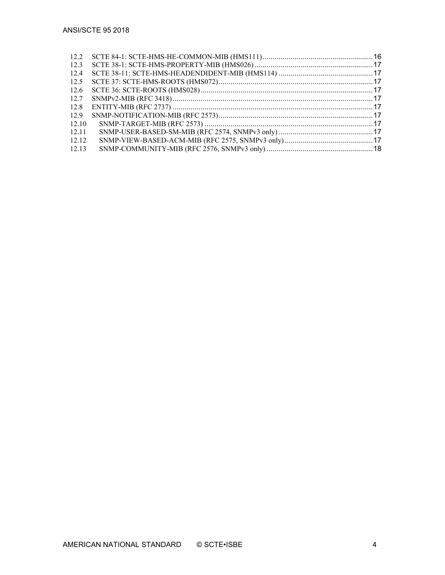| 12.2  |  |
|-------|--|
| 12.3  |  |
| 12.4  |  |
| 12.5  |  |
| 12.6  |  |
| 12.7  |  |
| 12.8  |  |
| 12.9  |  |
| 12.10 |  |
| 12.11 |  |
| 12.12 |  |
| 12.13 |  |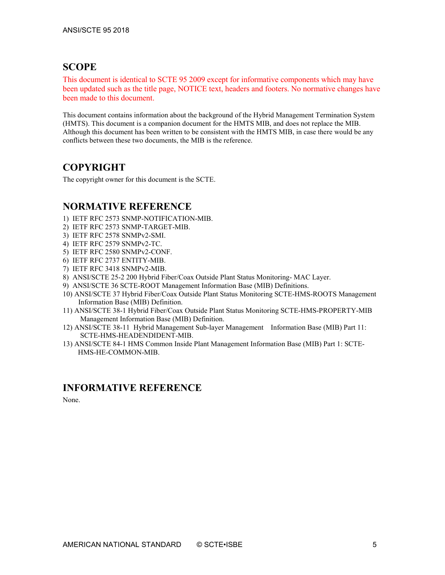# <span id="page-4-0"></span>**SCOPE**

This document is identical to SCTE 95 2009 except for informative components which may have been updated such as the title page, NOTICE text, headers and footers. No normative changes have been made to this document.

This document contains information about the background of the Hybrid Management Termination System (HMTS). This document is a companion document for the HMTS MIB, and does not replace the MIB. Although this document has been written to be consistent with the HMTS MIB, in case there would be any conflicts between these two documents, the MIB is the reference.

# <span id="page-4-1"></span>**COPYRIGHT**

The copyright owner for this document is the SCTE.

# <span id="page-4-2"></span>**NORMATIVE REFERENCE**

- 1) IETF RFC 2573 SNMP-NOTIFICATION-MIB.
- 2) IETF RFC 2573 SNMP-TARGET-MIB.
- 3) IETF RFC 2578 SNMPv2-SMI.
- 4) IETF RFC 2579 SNMPv2-TC.
- 5) IETF RFC 2580 SNMPv2-CONF.
- 6) IETF RFC 2737 ENTITY-MIB.
- 7) IETF RFC 3418 SNMPv2-MIB.
- 8) ANSI/SCTE 25-2 200 Hybrid Fiber/Coax Outside Plant Status Monitoring- MAC Layer.
- 9) ANSI/SCTE 36 SCTE-ROOT Management Information Base (MIB) Definitions.
- 10) ANSI/SCTE 37 Hybrid Fiber/Coax Outside Plant Status Monitoring SCTE-HMS-ROOTS Management Information Base (MIB) Definition.
- 11) ANSI/SCTE 38-1 Hybrid Fiber/Coax Outside Plant Status Monitoring SCTE-HMS-PROPERTY-MIB Management Information Base (MIB) Definition.
- 12) ANSI/SCTE 38-11 Hybrid Management Sub-layer Management Information Base (MIB) Part 11: SCTE-HMS-HEADENDIDENT-MIB.
- 13) ANSI/SCTE 84-1 HMS Common Inside Plant Management Information Base (MIB) Part 1: SCTE-HMS-HE-COMMON-MIB.

# <span id="page-4-3"></span>**INFORMATIVE REFERENCE**

None.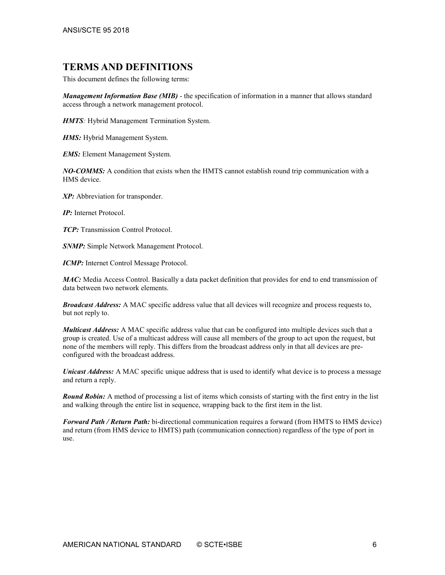# <span id="page-5-0"></span>**TERMS AND DEFINITIONS**

This document defines the following terms:

*Management Information Base (MIB)* - the specification of information in a manner that allows standard access through a network management protocol.

*HMTS:* Hybrid Management Termination System.

*HMS:* Hybrid Management System.

*EMS:* Element Management System.

*NO-COMMS:* A condition that exists when the HMTS cannot establish round trip communication with a HMS device.

*XP:* Abbreviation for transponder.

*IP:* Internet Protocol.

*TCP:* Transmission Control Protocol.

*SNMP:* Simple Network Management Protocol.

*ICMP:* Internet Control Message Protocol.

*MAC:* Media Access Control. Basically a data packet definition that provides for end to end transmission of data between two network elements.

*Broadcast Address:* A MAC specific address value that all devices will recognize and process requests to, but not reply to.

*Multicast Address:* A MAC specific address value that can be configured into multiple devices such that a group is created. Use of a multicast address will cause all members of the group to act upon the request, but none of the members will reply. This differs from the broadcast address only in that all devices are preconfigured with the broadcast address.

*Unicast Address:* A MAC specific unique address that is used to identify what device is to process a message and return a reply.

*Round Robin:* A method of processing a list of items which consists of starting with the first entry in the list and walking through the entire list in sequence, wrapping back to the first item in the list.

*Forward Path / Return Path:* bi-directional communication requires a forward (from HMTS to HMS device) and return (from HMS device to HMTS) path (communication connection) regardless of the type of port in use.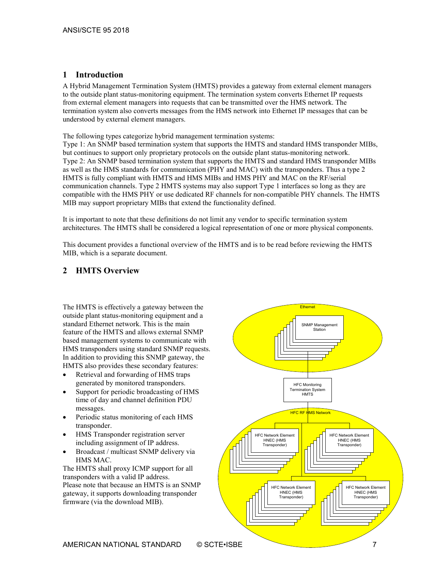# <span id="page-6-0"></span>**1 Introduction**

A Hybrid Management Termination System (HMTS) provides a gateway from external element managers to the outside plant status-monitoring equipment. The termination system converts Ethernet IP requests from external element managers into requests that can be transmitted over the HMS network. The termination system also converts messages from the HMS network into Ethernet IP messages that can be understood by external element managers.

The following types categorize hybrid management termination systems:

Type 1: An SNMP based termination system that supports the HMTS and standard HMS transponder MIBs, but continues to support only proprietary protocols on the outside plant status-monitoring network. Type 2: An SNMP based termination system that supports the HMTS and standard HMS transponder MIBs as well as the HMS standards for communication (PHY and MAC) with the transponders. Thus a type 2 HMTS is fully compliant with HMTS and HMS MIBs and HMS PHY and MAC on the RF/serial communication channels. Type 2 HMTS systems may also support Type 1 interfaces so long as they are compatible with the HMS PHY or use dedicated RF channels for non-compatible PHY channels. The HMTS MIB may support proprietary MIBs that extend the functionality defined.

It is important to note that these definitions do not limit any vendor to specific termination system architectures. The HMTS shall be considered a logical representation of one or more physical components.

This document provides a functional overview of the HMTS and is to be read before reviewing the HMTS MIB, which is a separate document.

# <span id="page-6-1"></span>**2 HMTS Overview**

The HMTS is effectively a gateway between the outside plant status-monitoring equipment and a standard Ethernet network. This is the main feature of the HMTS and allows external SNMP based management systems to communicate with HMS transponders using standard SNMP requests. In addition to providing this SNMP gateway, the HMTS also provides these secondary features:

- Retrieval and forwarding of HMS traps generated by monitored transponders.
- Support for periodic broadcasting of HMS time of day and channel definition PDU messages.
- Periodic status monitoring of each HMS transponder.
- HMS Transponder registration server including assignment of IP address.
- Broadcast / multicast SNMP delivery via HMS MAC.

The HMTS shall proxy ICMP support for all transponders with a valid IP address. Please note that because an HMTS is an SNMP gateway, it supports downloading transponder firmware (via the download MIB).

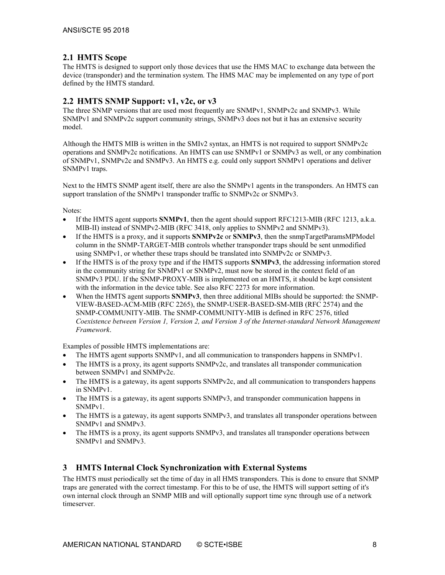# <span id="page-7-0"></span>**2.1 HMTS Scope**

The HMTS is designed to support only those devices that use the HMS MAC to exchange data between the device (transponder) and the termination system. The HMS MAC may be implemented on any type of port defined by the HMTS standard.

#### <span id="page-7-1"></span>**2.2 HMTS SNMP Support: v1, v2c, or v3**

The three SNMP versions that are used most frequently are SNMPv1, SNMPv2c and SNMPv3. While SNMPv1 and SNMPv2c support community strings, SNMPv3 does not but it has an extensive security model.

Although the HMTS MIB is written in the SMIv2 syntax, an HMTS is not required to support SNMPv2c operations and SNMPv2c notifications. An HMTS can use SNMPv1 or SNMPv3 as well, or any combination of SNMPv1, SNMPv2c and SNMPv3. An HMTS e.g. could only support SNMPv1 operations and deliver SNMPv1 traps.

Next to the HMTS SNMP agent itself, there are also the SNMPv1 agents in the transponders. An HMTS can support translation of the SNMPv1 transponder traffic to SNMPv2c or SNMPv3.

Notes:

- If the HMTS agent supports **SNMPv1**, then the agent should support RFC1213-MIB (RFC 1213, a.k.a. MIB-II) instead of SNMPv2-MIB (RFC 3418, only applies to SNMPv2 and SNMPv3).
- If the HMTS is a proxy, and it supports **SNMPv2c** or **SNMPv3**, then the snmpTargetParamsMPModel column in the SNMP-TARGET-MIB controls whether transponder traps should be sent unmodified using SNMPv1, or whether these traps should be translated into SNMPv2c or SNMPv3.
- If the HMTS is of the proxy type and if the HMTS supports **SNMPv3**, the addressing information stored in the community string for SNMPv1 or SNMPv2, must now be stored in the context field of an SNMPv3 PDU. If the SNMP-PROXY-MIB is implemented on an HMTS, it should be kept consistent with the information in the device table. See also RFC 2273 for more information.
- When the HMTS agent supports **SNMPv3**, then three additional MIBs should be supported: the SNMP-VIEW-BASED-ACM-MIB (RFC 2265), the SNMP-USER-BASED-SM-MIB (RFC 2574) and the SNMP-COMMUNITY-MIB. The SNMP-COMMUNITY-MIB is defined in RFC 2576, titled *Coexistence between Version 1, Version 2, and Version 3 of the Internet-standard Network Management Framework*.

Examples of possible HMTS implementations are:

- The HMTS agent supports SNMPv1, and all communication to transponders happens in SNMPv1.
- The HMTS is a proxy, its agent supports SNMPv2c, and translates all transponder communication between SNMPv1 and SNMPv2c.
- The HMTS is a gateway, its agent supports SNMPv2c, and all communication to transponders happens in SNMPv1.
- The HMTS is a gateway, its agent supports SNMPv3, and transponder communication happens in SNMPv1.
- The HMTS is a gateway, its agent supports SNMPv3, and translates all transponder operations between SNMPv1 and SNMPv3.
- The HMTS is a proxy, its agent supports SNMPv3, and translates all transponder operations between SNMPv1 and SNMPv3.

# <span id="page-7-2"></span>**3 HMTS Internal Clock Synchronization with External Systems**

The HMTS must periodically set the time of day in all HMS transponders. This is done to ensure that SNMP traps are generated with the correct timestamp. For this to be of use, the HMTS will support setting of it's own internal clock through an SNMP MIB and will optionally support time sync through use of a network timeserver.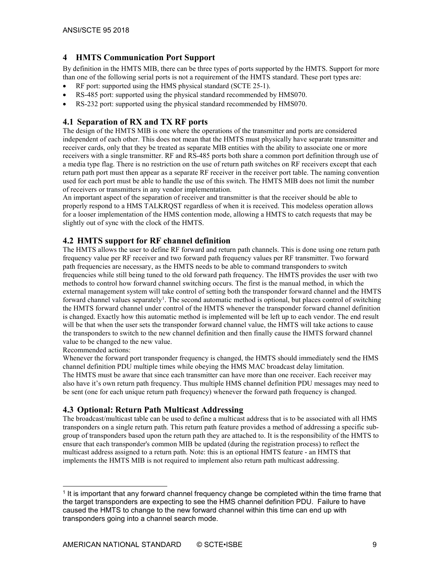# <span id="page-8-0"></span>**4 HMTS Communication Port Support**

By definition in the HMTS MIB, there can be three types of ports supported by the HMTS. Support for more than one of the following serial ports is not a requirement of the HMTS standard. These port types are:

- RF port: supported using the HMS physical standard (SCTE 25-1).
- RS-485 port: supported using the physical standard recommended by HMS070.
- <span id="page-8-1"></span>RS-232 port: supported using the physical standard recommended by HMS070.

#### **4.1 Separation of RX and TX RF ports**

The design of the HMTS MIB is one where the operations of the transmitter and ports are considered independent of each other. This does not mean that the HMTS must physically have separate transmitter and receiver cards, only that they be treated as separate MIB entities with the ability to associate one or more receivers with a single transmitter. RF and RS-485 ports both share a common port definition through use of a media type flag. There is no restriction on the use of return path switches on RF receivers except that each return path port must then appear as a separate RF receiver in the receiver port table. The naming convention used for each port must be able to handle the use of this switch. The HMTS MIB does not limit the number of receivers or transmitters in any vendor implementation.

An important aspect of the separation of receiver and transmitter is that the receiver should be able to properly respond to a HMS TALKRQST regardless of when it is received. This modeless operation allows for a looser implementation of the HMS contention mode, allowing a HMTS to catch requests that may be slightly out of sync with the clock of the HMTS.

# <span id="page-8-2"></span>**4.2 HMTS support for RF channel definition**

The HMTS allows the user to define RF forward and return path channels. This is done using one return path frequency value per RF receiver and two forward path frequency values per RF transmitter. Two forward path frequencies are necessary, as the HMTS needs to be able to command transponders to switch frequencies while still being tuned to the old forward path frequency. The HMTS provides the user with two methods to control how forward channel switching occurs. The first is the manual method, in which the external management system will take control of setting both the transponder forward channel and the HMTS forward channel values separately<sup>[1](#page-8-4)</sup>. The second automatic method is optional, but places control of switching the HMTS forward channel under control of the HMTS whenever the transponder forward channel definition is changed. Exactly how this automatic method is implemented will be left up to each vendor. The end result will be that when the user sets the transponder forward channel value, the HMTS will take actions to cause the transponders to switch to the new channel definition and then finally cause the HMTS forward channel value to be changed to the new value.

Recommended actions:

Whenever the forward port transponder frequency is changed, the HMTS should immediately send the HMS channel definition PDU multiple times while obeying the HMS MAC broadcast delay limitation. The HMTS must be aware that since each transmitter can have more than one receiver. Each receiver may also have it's own return path frequency. Thus multiple HMS channel definition PDU messages may need to be sent (one for each unique return path frequency) whenever the forward path frequency is changed.

# <span id="page-8-3"></span>**4.3 Optional: Return Path Multicast Addressing**

The broadcast/multicast table can be used to define a multicast address that is to be associated with all HMS transponders on a single return path. This return path feature provides a method of addressing a specific subgroup of transponders based upon the return path they are attached to. It is the responsibility of the HMTS to ensure that each transponder's common MIB be updated (during the registration process) to reflect the multicast address assigned to a return path. Note: this is an optional HMTS feature - an HMTS that implements the HMTS MIB is not required to implement also return path multicast addressing.

<span id="page-8-4"></span> <sup>1</sup> It is important that any forward channel frequency change be completed within the time frame that the target transponders are expecting to see the HMS channel definition PDU. Failure to have caused the HMTS to change to the new forward channel within this time can end up with transponders going into a channel search mode.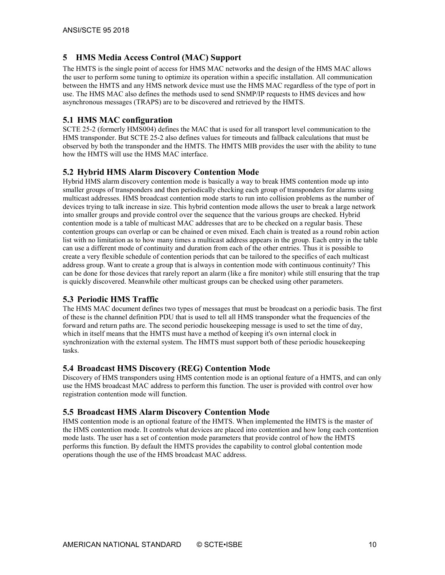# <span id="page-9-0"></span>**5 HMS Media Access Control (MAC) Support**

The HMTS is the single point of access for HMS MAC networks and the design of the HMS MAC allows the user to perform some tuning to optimize its operation within a specific installation. All communication between the HMTS and any HMS network device must use the HMS MAC regardless of the type of port in use. The HMS MAC also defines the methods used to send SNMP/IP requests to HMS devices and how asynchronous messages (TRAPS) are to be discovered and retrieved by the HMTS.

#### <span id="page-9-1"></span>**5.1 HMS MAC configuration**

SCTE 25-2 (formerly HMS004) defines the MAC that is used for all transport level communication to the HMS transponder. But SCTE 25-2 also defines values for timeouts and fallback calculations that must be observed by both the transponder and the HMTS. The HMTS MIB provides the user with the ability to tune how the HMTS will use the HMS MAC interface.

# <span id="page-9-2"></span>**5.2 Hybrid HMS Alarm Discovery Contention Mode**

Hybrid HMS alarm discovery contention mode is basically a way to break HMS contention mode up into smaller groups of transponders and then periodically checking each group of transponders for alarms using multicast addresses. HMS broadcast contention mode starts to run into collision problems as the number of devices trying to talk increase in size. This hybrid contention mode allows the user to break a large network into smaller groups and provide control over the sequence that the various groups are checked. Hybrid contention mode is a table of multicast MAC addresses that are to be checked on a regular basis. These contention groups can overlap or can be chained or even mixed. Each chain is treated as a round robin action list with no limitation as to how many times a multicast address appears in the group. Each entry in the table can use a different mode of continuity and duration from each of the other entries. Thus it is possible to create a very flexible schedule of contention periods that can be tailored to the specifics of each multicast address group. Want to create a group that is always in contention mode with continuous continuity? This can be done for those devices that rarely report an alarm (like a fire monitor) while still ensuring that the trap is quickly discovered. Meanwhile other multicast groups can be checked using other parameters.

# <span id="page-9-3"></span>**5.3 Periodic HMS Traffic**

The HMS MAC document defines two types of messages that must be broadcast on a periodic basis. The first of these is the channel definition PDU that is used to tell all HMS transponder what the frequencies of the forward and return paths are. The second periodic housekeeping message is used to set the time of day, which in itself means that the HMTS must have a method of keeping it's own internal clock in synchronization with the external system. The HMTS must support both of these periodic housekeeping tasks.

# <span id="page-9-4"></span>**5.4 Broadcast HMS Discovery (REG) Contention Mode**

Discovery of HMS transponders using HMS contention mode is an optional feature of a HMTS, and can only use the HMS broadcast MAC address to perform this function. The user is provided with control over how registration contention mode will function.

#### <span id="page-9-5"></span>**5.5 Broadcast HMS Alarm Discovery Contention Mode**

HMS contention mode is an optional feature of the HMTS. When implemented the HMTS is the master of the HMS contention mode. It controls what devices are placed into contention and how long each contention mode lasts. The user has a set of contention mode parameters that provide control of how the HMTS performs this function. By default the HMTS provides the capability to control global contention mode operations though the use of the HMS broadcast MAC address.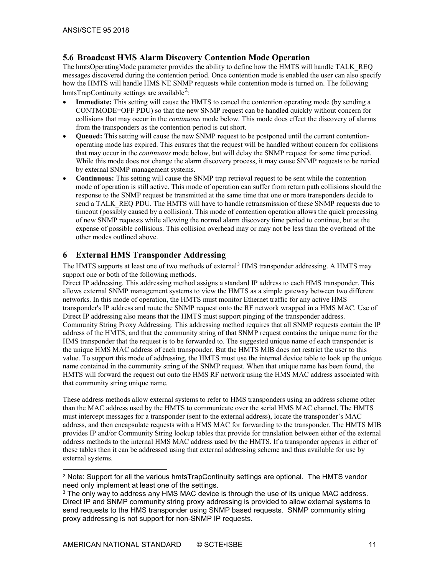# <span id="page-10-0"></span>**5.6 Broadcast HMS Alarm Discovery Contention Mode Operation**

The hmtsOperatingMode parameter provides the ability to define how the HMTS will handle TALK\_REQ messages discovered during the contention period. Once contention mode is enabled the user can also specify how the HMTS will handle HMS NE SNMP requests while contention mode is turned on. The following hmtsTrapContinuity settings are available<sup>[2](#page-10-2)</sup>:

- **Immediate:** This setting will cause the HMTS to cancel the contention operating mode (by sending a CONTMODE=OFF PDU) so that the new SNMP request can be handled quickly without concern for collisions that may occur in the *continuous* mode below. This mode does effect the discovery of alarms from the transponders as the contention period is cut short.
- **Queued:** This setting will cause the new SNMP request to be postponed until the current contentionoperating mode has expired. This ensures that the request will be handled without concern for collisions that may occur in the *continuous* mode below, but will delay the SNMP request for some time period. While this mode does not change the alarm discovery process, it may cause SNMP requests to be retried by external SNMP management systems.
- **Continuous:** This setting will cause the SNMP trap retrieval request to be sent while the contention mode of operation is still active. This mode of operation can suffer from return path collisions should the response to the SNMP request be transmitted at the same time that one or more transponders decide to send a TALK\_REQ PDU. The HMTS will have to handle retransmission of these SNMP requests due to timeout (possibly caused by a collision). This mode of contention operation allows the quick processing of new SNMP requests while allowing the normal alarm discovery time period to continue, but at the expense of possible collisions. This collision overhead may or may not be less than the overhead of the other modes outlined above.

# <span id="page-10-1"></span>**6 External HMS Transponder Addressing**

The HMTS supports at least one of two methods of external<sup>[3](#page-10-3)</sup> HMS transponder addressing. A HMTS may support one or both of the following methods.

Direct IP addressing. This addressing method assigns a standard IP address to each HMS transponder. This allows external SNMP management systems to view the HMTS as a simple gateway between two different networks. In this mode of operation, the HMTS must monitor Ethernet traffic for any active HMS transponder's IP address and route the SNMP request onto the RF network wrapped in a HMS MAC. Use of Direct IP addressing also means that the HMTS must support pinging of the transponder address. Community String Proxy Addressing. This addressing method requires that all SNMP requests contain the IP address of the HMTS, and that the community string of that SNMP request contains the unique name for the HMS transponder that the request is to be forwarded to. The suggested unique name of each transponder is the unique HMS MAC address of each transponder. But the HMTS MIB does not restrict the user to this value. To support this mode of addressing, the HMTS must use the internal device table to look up the unique name contained in the community string of the SNMP request. When that unique name has been found, the HMTS will forward the request out onto the HMS RF network using the HMS MAC address associated with that community string unique name.

These address methods allow external systems to refer to HMS transponders using an address scheme other than the MAC address used by the HMTS to communicate over the serial HMS MAC channel. The HMTS must intercept messages for a transponder (sent to the external address), locate the transponder's MAC address, and then encapsulate requests with a HMS MAC for forwarding to the transponder. The HMTS MIB provides IP and/or Community String lookup tables that provide for translation between either of the external address methods to the internal HMS MAC address used by the HMTS. If a transponder appears in either of these tables then it can be addressed using that external addressing scheme and thus available for use by external systems.

<span id="page-10-2"></span> <sup>2</sup> Note: Support for all the various hmtsTrapContinuity settings are optional. The HMTS vendor need only implement at least one of the settings.

<span id="page-10-3"></span><sup>&</sup>lt;sup>3</sup> The only way to address any HMS MAC device is through the use of its unique MAC address. Direct IP and SNMP community string proxy addressing is provided to allow external systems to send requests to the HMS transponder using SNMP based requests. SNMP community string proxy addressing is not support for non-SNMP IP requests.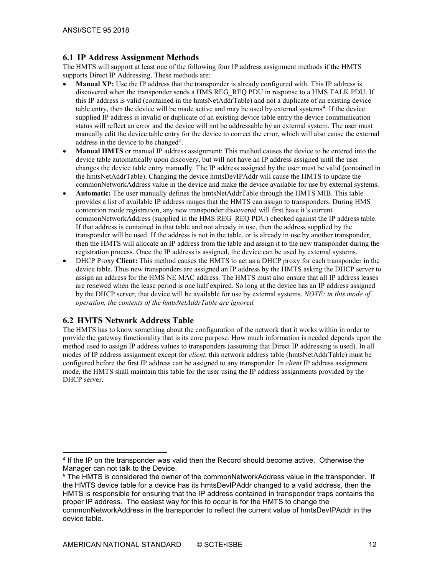#### <span id="page-11-0"></span>**6.1 IP Address Assignment Methods**

The HMTS will support at least one of the following four IP address assignment methods if the HMTS supports Direct IP Addressing. These methods are:

- **Manual XP:** Use the IP address that the transponder is already configured with. This IP address is discovered when the transponder sends a HMS REG\_REQ PDU in response to a HMS TALK PDU. If this IP address is valid (contained in the hmtsNetAddrTable) and not a duplicate of an existing device table entry, then the device will be made active and may be used by external systems<sup>[4](#page-11-2)</sup>. If the device supplied IP address is invalid or duplicate of an existing device table entry the device communication status will reflect an error and the device will not be addressable by an external system. The user must manually edit the device table entry for the device to correct the error, which will also cause the external address in the device to be changed<sup>[5](#page-11-3)</sup>.
- **Manual HMTS** or manual IP address assignment: This method causes the device to be entered into the device table automatically upon discovery, but will not have an IP address assigned until the user changes the device table entry manually. The IP address assigned by the user must be valid (contained in the hmtsNetAddrTable). Changing the device hmtsDevIPAddr will cause the HMTS to update the commonNetworkAddress value in the device and make the device available for use by external systems.
- **Automatic:** The user manually defines the hmtsNetAddrTable through the HMTS MIB. This table provides a list of available IP address ranges that the HMTS can assign to transponders. During HMS contention mode registration, any new transponder discovered will first have it's current commonNetworkAddress (supplied in the HMS REG\_REQ PDU) checked against the IP address table. If that address is contained in that table and not already in use, then the address supplied by the transponder will be used. If the address is not in the table, or is already in use by another transponder, then the HMTS will allocate an IP address from the table and assign it to the new transponder during the registration process. Once the IP address is assigned, the device can be used by external systems.
- DHCP Proxy **Client:** This method causes the HMTS to act as a DHCP proxy for each transponder in the device table. Thus new transponders are assigned an IP address by the HMTS asking the DHCP server to assign an address for the HMS NE MAC address. The HMTS must also ensure that all IP address leases are renewed when the lease period is one half expired. So long at the device has an IP address assigned by the DHCP server, that device will be available for use by external systems. *NOTE: in this mode of operation, the contents of the hmtsNetAddrTable are ignored.*

# <span id="page-11-1"></span>**6.2 HMTS Network Address Table**

The HMTS has to know something about the configuration of the network that it works within in order to provide the gateway functionality that is its core purpose. How much information is needed depends upon the method used to assign IP address values to transponders (assuming that Direct IP addressing is used). In all modes of IP address assignment except for *client*, this network address table (hmtsNetAddrTable) must be configured before the first IP address can be assigned to any transponder. In *client* IP address assignment mode, the HMTS shall maintain this table for the user using the IP address assignments provided by the DHCP server.

<span id="page-11-2"></span> <sup>4</sup> If the IP on the transponder was valid then the Record should become active. Otherwise the Manager can not talk to the Device.

<span id="page-11-3"></span><sup>&</sup>lt;sup>5</sup> The HMTS is considered the owner of the commonNetworkAddress value in the transponder. If the HMTS device table for a device has its hmtsDevIPAddr changed to a valid address, then the HMTS is responsible for ensuring that the IP address contained in transponder traps contains the proper IP address. The easiest way for this to occur is for the HMTS to change the commonNetworkAddress in the transponder to reflect the current value of hmtsDevIPAddr in the device table.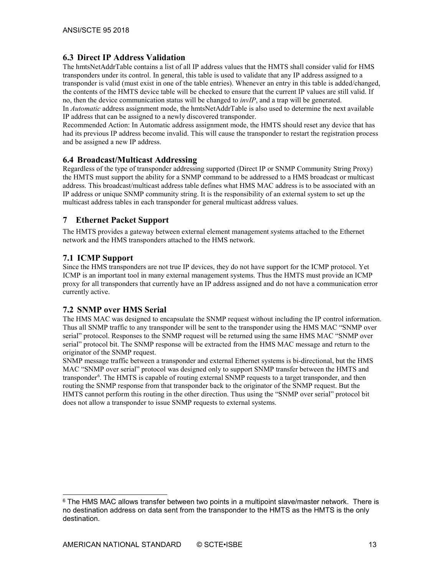# <span id="page-12-0"></span>**6.3 Direct IP Address Validation**

The hmtsNetAddrTable contains a list of all IP address values that the HMTS shall consider valid for HMS transponders under its control. In general, this table is used to validate that any IP address assigned to a transponder is valid (must exist in one of the table entries). Whenever an entry in this table is added/changed, the contents of the HMTS device table will be checked to ensure that the current IP values are still valid. If no, then the device communication status will be changed to *invIP*, and a trap will be generated.

In *Automatic* address assignment mode, the hmtsNetAddrTable is also used to determine the next available IP address that can be assigned to a newly discovered transponder.

Recommended Action: In Automatic address assignment mode, the HMTS should reset any device that has had its previous IP address become invalid. This will cause the transponder to restart the registration process and be assigned a new IP address.

#### <span id="page-12-1"></span>**6.4 Broadcast/Multicast Addressing**

Regardless of the type of transponder addressing supported (Direct IP or SNMP Community String Proxy) the HMTS must support the ability for a SNMP command to be addressed to a HMS broadcast or multicast address. This broadcast/multicast address table defines what HMS MAC address is to be associated with an IP address or unique SNMP community string. It is the responsibility of an external system to set up the multicast address tables in each transponder for general multicast address values.

# <span id="page-12-2"></span>**7 Ethernet Packet Support**

The HMTS provides a gateway between external element management systems attached to the Ethernet network and the HMS transponders attached to the HMS network.

# <span id="page-12-3"></span>**7.1 ICMP Support**

Since the HMS transponders are not true IP devices, they do not have support for the ICMP protocol. Yet ICMP is an important tool in many external management systems. Thus the HMTS must provide an ICMP proxy for all transponders that currently have an IP address assigned and do not have a communication error currently active.

# <span id="page-12-4"></span>**7.2 SNMP over HMS Serial**

The HMS MAC was designed to encapsulate the SNMP request without including the IP control information. Thus all SNMP traffic to any transponder will be sent to the transponder using the HMS MAC "SNMP over serial" protocol. Responses to the SNMP request will be returned using the same HMS MAC "SNMP over serial" protocol bit. The SNMP response will be extracted from the HMS MAC message and return to the originator of the SNMP request.

SNMP message traffic between a transponder and external Ethernet systems is bi-directional, but the HMS MAC "SNMP over serial" protocol was designed only to support SNMP transfer between the HMTS and transponder<sup>[6](#page-12-5)</sup>. The HMTS is capable of routing external SNMP requests to a target transponder, and then routing the SNMP response from that transponder back to the originator of the SNMP request. But the HMTS cannot perform this routing in the other direction. Thus using the "SNMP over serial" protocol bit does not allow a transponder to issue SNMP requests to external systems.

<span id="page-12-5"></span> $6$  The HMS MAC allows transfer between two points in a multipoint slave/master network. There is no destination address on data sent from the transponder to the HMTS as the HMTS is the only destination.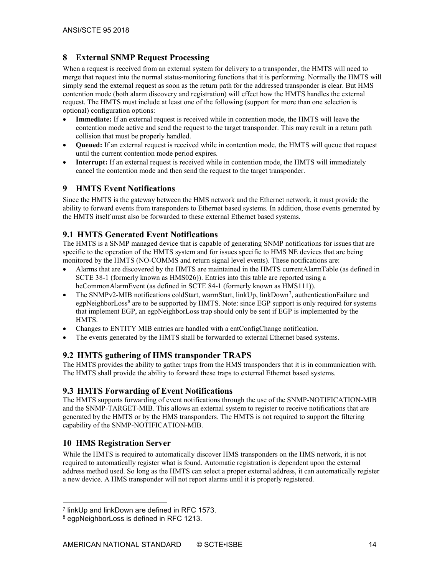# <span id="page-13-0"></span>**8 External SNMP Request Processing**

When a request is received from an external system for delivery to a transponder, the HMTS will need to merge that request into the normal status-monitoring functions that it is performing. Normally the HMTS will simply send the external request as soon as the return path for the addressed transponder is clear. But HMS contention mode (both alarm discovery and registration) will effect how the HMTS handles the external request. The HMTS must include at least one of the following (support for more than one selection is optional) configuration options:

- **Immediate:** If an external request is received while in contention mode, the HMTS will leave the contention mode active and send the request to the target transponder. This may result in a return path collision that must be properly handled.
- **Queued:** If an external request is received while in contention mode, the HMTS will queue that request until the current contention mode period expires.
- **Interrupt:** If an external request is received while in contention mode, the HMTS will immediately cancel the contention mode and then send the request to the target transponder.

# <span id="page-13-1"></span>**9 HMTS Event Notifications**

Since the HMTS is the gateway between the HMS network and the Ethernet network, it must provide the ability to forward events from transponders to Ethernet based systems. In addition, those events generated by the HMTS itself must also be forwarded to these external Ethernet based systems.

# <span id="page-13-2"></span>**9.1 HMTS Generated Event Notifications**

The HMTS is a SNMP managed device that is capable of generating SNMP notifications for issues that are specific to the operation of the HMTS system and for issues specific to HMS NE devices that are being monitored by the HMTS (NO-COMMS and return signal level events). These notifications are:

- Alarms that are discovered by the HMTS are maintained in the HMTS currentAlarmTable (as defined in SCTE 38-1 (formerly known as HMS026)). Entries into this table are reported using a heCommonAlarmEvent (as defined in SCTE 84-1 (formerly known as HMS111)).
- The SNMPv2-MIB notifications coldStart, warmStart, linkUp, linkDown<sup>[7](#page-13-6)</sup>, authenticationFailure and egpNeighborLoss<sup>[8](#page-13-7)</sup> are to be supported by HMTS. Note: since EGP support is only required for systems that implement EGP, an egpNeighborLoss trap should only be sent if EGP is implemented by the HMTS.
- Changes to ENTITY MIB entries are handled with a entConfigChange notification.
- <span id="page-13-3"></span>• The events generated by the HMTS shall be forwarded to external Ethernet based systems.

# **9.2 HMTS gathering of HMS transponder TRAPS**

The HMTS provides the ability to gather traps from the HMS transponders that it is in communication with. The HMTS shall provide the ability to forward these traps to external Ethernet based systems.

# <span id="page-13-4"></span>**9.3 HMTS Forwarding of Event Notifications**

The HMTS supports forwarding of event notifications through the use of the SNMP-NOTIFICATION-MIB and the SNMP-TARGET-MIB. This allows an external system to register to receive notifications that are generated by the HMTS or by the HMS transponders. The HMTS is not required to support the filtering capability of the SNMP-NOTIFICATION-MIB.

# <span id="page-13-5"></span>**10 HMS Registration Server**

While the HMTS is required to automatically discover HMS transponders on the HMS network, it is not required to automatically register what is found. Automatic registration is dependent upon the external address method used. So long as the HMTS can select a proper external address, it can automatically register a new device. A HMS transponder will not report alarms until it is properly registered.

<span id="page-13-6"></span> <sup>7</sup> linkUp and linkDown are defined in RFC 1573.

<span id="page-13-7"></span><sup>8</sup> egpNeighborLoss is defined in RFC 1213.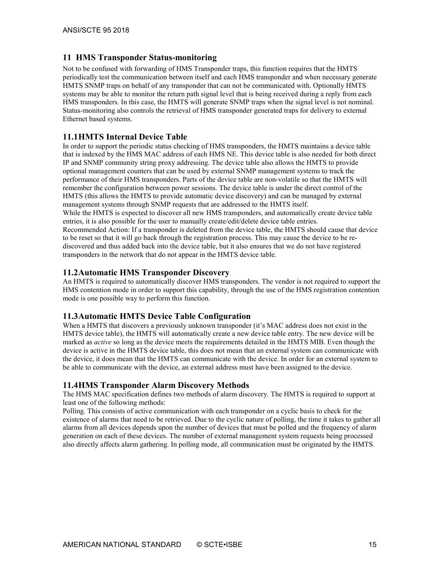#### <span id="page-14-0"></span>**11 HMS Transponder Status-monitoring**

Not to be confused with forwarding of HMS Transponder traps, this function requires that the HMTS periodically test the communication between itself and each HMS transponder and when necessary generate HMTS SNMP traps on behalf of any transponder that can not be communicated with. Optionally HMTS systems may be able to monitor the return path signal level that is being received during a reply from each HMS transponders. In this case, the HMTS will generate SNMP traps when the signal level is not nominal. Status-monitoring also controls the retrieval of HMS transponder generated traps for delivery to external Ethernet based systems.

#### <span id="page-14-1"></span>**11.1HMTS Internal Device Table**

In order to support the periodic status checking of HMS transponders, the HMTS maintains a device table that is indexed by the HMS MAC address of each HMS NE. This device table is also needed for both direct IP and SNMP community string proxy addressing. The device table also allows the HMTS to provide optional management counters that can be used by external SNMP management systems to track the performance of their HMS transponders. Parts of the device table are non-volatile so that the HMTS will remember the configuration between power sessions. The device table is under the direct control of the HMTS (this allows the HMTS to provide automatic device discovery) and can be managed by external management systems through SNMP requests that are addressed to the HMTS itself. While the HMTS is expected to discover all new HMS transponders, and automatically create device table entries, it is also possible for the user to manually create/edit/delete device table entries. Recommended Action: If a transponder is deleted from the device table, the HMTS should cause that device to be reset so that it will go back through the registration process. This may cause the device to be rediscovered and thus added back into the device table, but it also ensures that we do not have registered transponders in the network that do not appear in the HMTS device table.

#### <span id="page-14-2"></span>**11.2Automatic HMS Transponder Discovery**

An HMTS is required to automatically discover HMS transponders. The vendor is not required to support the HMS contention mode in order to support this capability, through the use of the HMS registration contention mode is one possible way to perform this function.

#### <span id="page-14-3"></span>**11.3Automatic HMTS Device Table Configuration**

When a HMTS that discovers a previously unknown transponder (it's MAC address does not exist in the HMTS device table), the HMTS will automatically create a new device table entry. The new device will be marked as *active* so long as the device meets the requirements detailed in the HMTS MIB. Even though the device is active in the HMTS device table, this does not mean that an external system can communicate with the device, it does mean that the HMTS can communicate with the device. In order for an external system to be able to communicate with the device, an external address must have been assigned to the device.

#### <span id="page-14-4"></span>**11.4HMS Transponder Alarm Discovery Methods**

The HMS MAC specification defines two methods of alarm discovery. The HMTS is required to support at least one of the following methods:

Polling. This consists of active communication with each transponder on a cyclic basis to check for the existence of alarms that need to be retrieved. Due to the cyclic nature of polling, the time it takes to gather all alarms from all devices depends upon the number of devices that must be polled and the frequency of alarm generation on each of these devices. The number of external management system requests being processed also directly affects alarm gathering. In polling mode, all communication must be originated by the HMTS.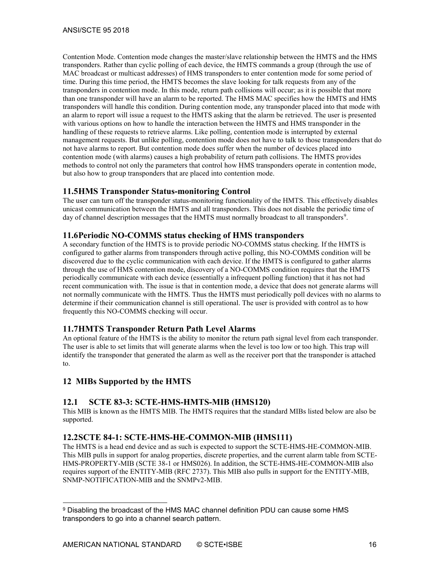Contention Mode. Contention mode changes the master/slave relationship between the HMTS and the HMS transponders. Rather than cyclic polling of each device, the HMTS commands a group (through the use of MAC broadcast or multicast addresses) of HMS transponders to enter contention mode for some period of time. During this time period, the HMTS becomes the slave looking for talk requests from any of the transponders in contention mode. In this mode, return path collisions will occur; as it is possible that more than one transponder will have an alarm to be reported. The HMS MAC specifies how the HMTS and HMS transponders will handle this condition. During contention mode, any transponder placed into that mode with an alarm to report will issue a request to the HMTS asking that the alarm be retrieved. The user is presented with various options on how to handle the interaction between the HMTS and HMS transponder in the handling of these requests to retrieve alarms. Like polling, contention mode is interrupted by external management requests. But unlike polling, contention mode does not have to talk to those transponders that do not have alarms to report. But contention mode does suffer when the number of devices placed into contention mode (with alarms) causes a high probability of return path collisions. The HMTS provides methods to control not only the parameters that control how HMS transponders operate in contention mode, but also how to group transponders that are placed into contention mode.

#### <span id="page-15-0"></span>**11.5HMS Transponder Status-monitoring Control**

The user can turn off the transponder status-monitoring functionality of the HMTS. This effectively disables unicast communication between the HMTS and all transponders. This does not disable the periodic time of day of channel description messages that the HMTS must normally broadcast to all transponders<sup>[9](#page-15-6)</sup>.

#### <span id="page-15-1"></span>**11.6Periodic NO-COMMS status checking of HMS transponders**

A secondary function of the HMTS is to provide periodic NO-COMMS status checking. If the HMTS is configured to gather alarms from transponders through active polling, this NO-COMMS condition will be discovered due to the cyclic communication with each device. If the HMTS is configured to gather alarms through the use of HMS contention mode, discovery of a NO-COMMS condition requires that the HMTS periodically communicate with each device (essentially a infrequent polling function) that it has not had recent communication with. The issue is that in contention mode, a device that does not generate alarms will not normally communicate with the HMTS. Thus the HMTS must periodically poll devices with no alarms to determine if their communication channel is still operational. The user is provided with control as to how frequently this NO-COMMS checking will occur.

# <span id="page-15-2"></span>**11.7HMTS Transponder Return Path Level Alarms**

An optional feature of the HMTS is the ability to monitor the return path signal level from each transponder. The user is able to set limits that will generate alarms when the level is too low or too high. This trap will identify the transponder that generated the alarm as well as the receiver port that the transponder is attached to.

# <span id="page-15-3"></span>**12 MIBs Supported by the HMTS**

# <span id="page-15-4"></span>**12.1 SCTE 83-3: SCTE-HMS-HMTS-MIB (HMS120)**

This MIB is known as the HMTS MIB. The HMTS requires that the standard MIBs listed below are also be supported.

#### <span id="page-15-5"></span>**12.2SCTE 84-1: SCTE-HMS-HE-COMMON-MIB (HMS111)**

The HMTS is a head end device and as such is expected to support the SCTE-HMS-HE-COMMON-MIB. This MIB pulls in support for analog properties, discrete properties, and the current alarm table from SCTE-HMS-PROPERTY-MIB (SCTE 38-1 or HMS026). In addition, the SCTE-HMS-HE-COMMON-MIB also requires support of the ENTITY-MIB (RFC 2737). This MIB also pulls in support for the ENTITY-MIB, SNMP-NOTIFICATION-MIB and the SNMPv2-MIB.

<span id="page-15-6"></span> <sup>9</sup> Disabling the broadcast of the HMS MAC channel definition PDU can cause some HMS transponders to go into a channel search pattern.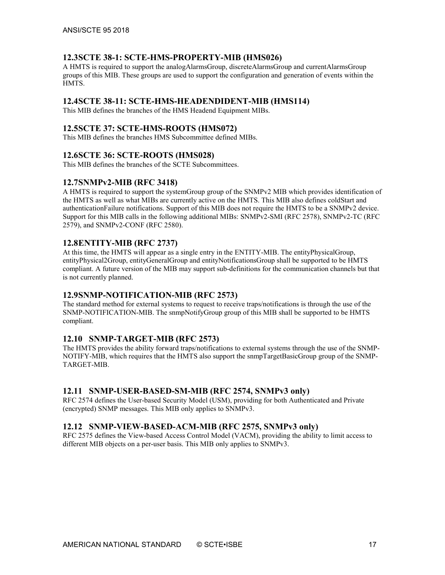#### <span id="page-16-0"></span>**12.3SCTE 38-1: SCTE-HMS-PROPERTY-MIB (HMS026)**

A HMTS is required to support the analogAlarmsGroup, discreteAlarmsGroup and currentAlarmsGroup groups of this MIB. These groups are used to support the configuration and generation of events within the HMTS.

#### <span id="page-16-1"></span>**12.4SCTE 38-11: SCTE-HMS-HEADENDIDENT-MIB (HMS114)**

<span id="page-16-2"></span>This MIB defines the branches of the HMS Headend Equipment MIBs.

#### **12.5SCTE 37: SCTE-HMS-ROOTS (HMS072)**

<span id="page-16-3"></span>This MIB defines the branches HMS Subcommittee defined MIBs.

#### **12.6SCTE 36: SCTE-ROOTS (HMS028)**

<span id="page-16-4"></span>This MIB defines the branches of the SCTE Subcommittees.

#### **12.7SNMPv2-MIB (RFC 3418)**

A HMTS is required to support the systemGroup group of the SNMPv2 MIB which provides identification of the HMTS as well as what MIBs are currently active on the HMTS. This MIB also defines coldStart and authenticationFailure notifications. Support of this MIB does not require the HMTS to be a SNMPv2 device. Support for this MIB calls in the following additional MIBs: SNMPv2-SMI (RFC 2578), SNMPv2-TC (RFC 2579), and SNMPv2-CONF (RFC 2580).

#### <span id="page-16-5"></span>**12.8ENTITY-MIB (RFC 2737)**

At this time, the HMTS will appear as a single entry in the ENTITY-MIB. The entityPhysicalGroup, entityPhysical2Group, entityGeneralGroup and entityNotificationsGroup shall be supported to be HMTS compliant. A future version of the MIB may support sub-definitions for the communication channels but that is not currently planned.

#### <span id="page-16-6"></span>**12.9SNMP-NOTIFICATION-MIB (RFC 2573)**

The standard method for external systems to request to receive traps/notifications is through the use of the SNMP-NOTIFICATION-MIB. The snmpNotifyGroup group of this MIB shall be supported to be HMTS compliant.

#### <span id="page-16-7"></span>**12.10 SNMP-TARGET-MIB (RFC 2573)**

The HMTS provides the ability forward traps/notifications to external systems through the use of the SNMP-NOTIFY-MIB, which requires that the HMTS also support the snmpTargetBasicGroup group of the SNMP-TARGET-MIB.

#### <span id="page-16-8"></span>**12.11 SNMP-USER-BASED-SM-MIB (RFC 2574, SNMPv3 only)**

RFC 2574 defines the User-based Security Model (USM), providing for both Authenticated and Private (encrypted) SNMP messages. This MIB only applies to SNMPv3.

# <span id="page-16-9"></span>**12.12 SNMP-VIEW-BASED-ACM-MIB (RFC 2575, SNMPv3 only)**

RFC 2575 defines the View-based Access Control Model (VACM), providing the ability to limit access to different MIB objects on a per-user basis. This MIB only applies to SNMPv3.